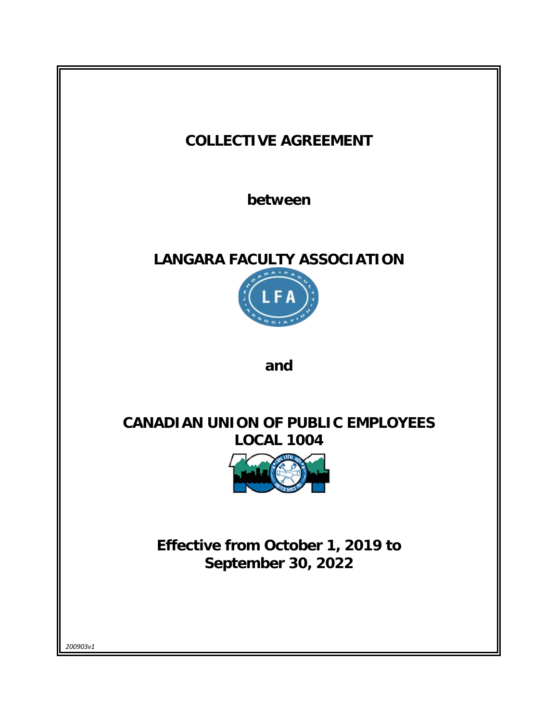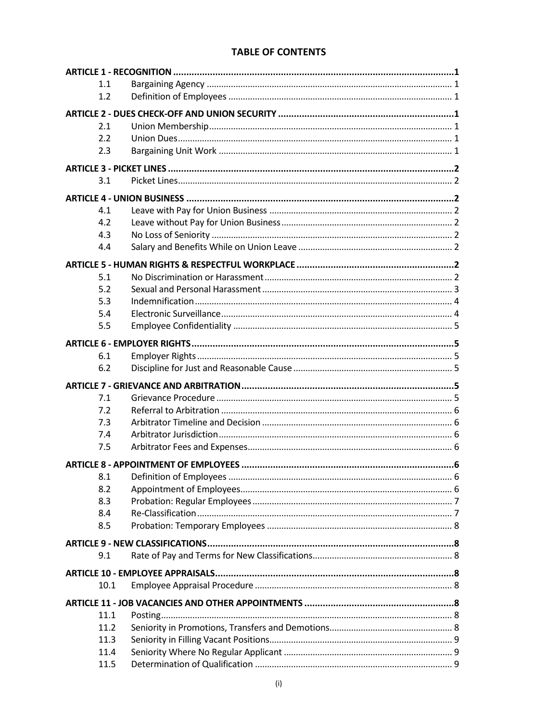# **TABLE OF CONTENTS**

| 1.1  |  |  |
|------|--|--|
| 1.2  |  |  |
|      |  |  |
| 2.1  |  |  |
| 2.2  |  |  |
| 2.3  |  |  |
|      |  |  |
| 3.1  |  |  |
|      |  |  |
| 4.1  |  |  |
| 4.2  |  |  |
| 4.3  |  |  |
| 4.4  |  |  |
|      |  |  |
| 5.1  |  |  |
| 5.2  |  |  |
| 5.3  |  |  |
| 5.4  |  |  |
| 5.5  |  |  |
|      |  |  |
|      |  |  |
| 6.1  |  |  |
| 6.2  |  |  |
|      |  |  |
| 7.1  |  |  |
| 7.2  |  |  |
| 7.3  |  |  |
| 7.4  |  |  |
| 7.5  |  |  |
|      |  |  |
| 8.1  |  |  |
| 8.2  |  |  |
| 8.3  |  |  |
| 8.4  |  |  |
| 8.5  |  |  |
|      |  |  |
| 9.1  |  |  |
|      |  |  |
|      |  |  |
| 10.1 |  |  |
|      |  |  |
| 11.1 |  |  |
| 11.2 |  |  |
| 11.3 |  |  |
| 11.4 |  |  |
| 11.5 |  |  |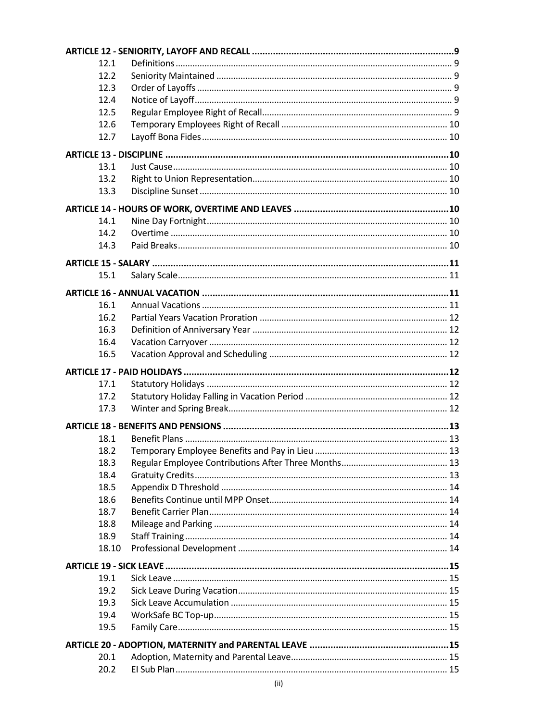| 12.1         |  |  |
|--------------|--|--|
| 12.2         |  |  |
| 12.3         |  |  |
| 12.4         |  |  |
| 12.5         |  |  |
| 12.6         |  |  |
| 12.7         |  |  |
|              |  |  |
| 13.1         |  |  |
| 13.2         |  |  |
| 13.3         |  |  |
|              |  |  |
| 14.1         |  |  |
| 14.2         |  |  |
| 14.3         |  |  |
|              |  |  |
|              |  |  |
| 15.1         |  |  |
|              |  |  |
| 16.1         |  |  |
| 16.2         |  |  |
| 16.3         |  |  |
| 16.4         |  |  |
| 16.5         |  |  |
|              |  |  |
|              |  |  |
|              |  |  |
| 17.1         |  |  |
| 17.2<br>17.3 |  |  |
|              |  |  |
|              |  |  |
| 18.1         |  |  |
| 18.2         |  |  |
| 18.3         |  |  |
| 18.4         |  |  |
| 18.5         |  |  |
| 18.6         |  |  |
| 18.7         |  |  |
| 18.8         |  |  |
| 18.9         |  |  |
| 18.10        |  |  |
|              |  |  |
| 19.1         |  |  |
| 19.2         |  |  |
| 19.3         |  |  |
| 19.4         |  |  |
| 19.5         |  |  |
|              |  |  |
| 20.1         |  |  |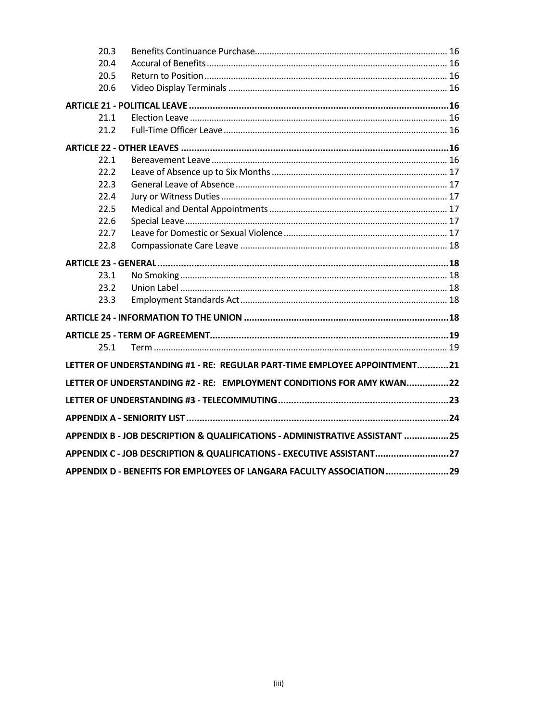| 20.3                                                                        |                                                                           |  |
|-----------------------------------------------------------------------------|---------------------------------------------------------------------------|--|
| 20.4                                                                        |                                                                           |  |
| 20.5                                                                        |                                                                           |  |
| 20.6                                                                        |                                                                           |  |
|                                                                             |                                                                           |  |
| 21.1                                                                        |                                                                           |  |
| 21.2                                                                        |                                                                           |  |
|                                                                             |                                                                           |  |
| 22.1                                                                        |                                                                           |  |
| 22.2                                                                        |                                                                           |  |
| 22.3                                                                        |                                                                           |  |
| 22.4                                                                        |                                                                           |  |
| 22.5                                                                        |                                                                           |  |
| 22.6                                                                        |                                                                           |  |
| 22.7                                                                        |                                                                           |  |
| 22.8                                                                        |                                                                           |  |
|                                                                             |                                                                           |  |
| 23.1                                                                        |                                                                           |  |
| 23.2                                                                        |                                                                           |  |
| 23.3                                                                        |                                                                           |  |
|                                                                             |                                                                           |  |
|                                                                             |                                                                           |  |
| 25.1                                                                        |                                                                           |  |
|                                                                             | LETTER OF UNDERSTANDING #1 - RE: REGULAR PART-TIME EMPLOYEE APPOINTMENT21 |  |
|                                                                             | LETTER OF UNDERSTANDING #2 - RE: EMPLOYMENT CONDITIONS FOR AMY KWAN22     |  |
|                                                                             |                                                                           |  |
|                                                                             |                                                                           |  |
| APPENDIX B - JOB DESCRIPTION & QUALIFICATIONS - ADMINISTRATIVE ASSISTANT 25 |                                                                           |  |
| APPENDIX C - JOB DESCRIPTION & QUALIFICATIONS - EXECUTIVE ASSISTANT27       |                                                                           |  |
|                                                                             | APPENDIX D - BENEFITS FOR EMPLOYEES OF LANGARA FACULTY ASSOCIATION  29    |  |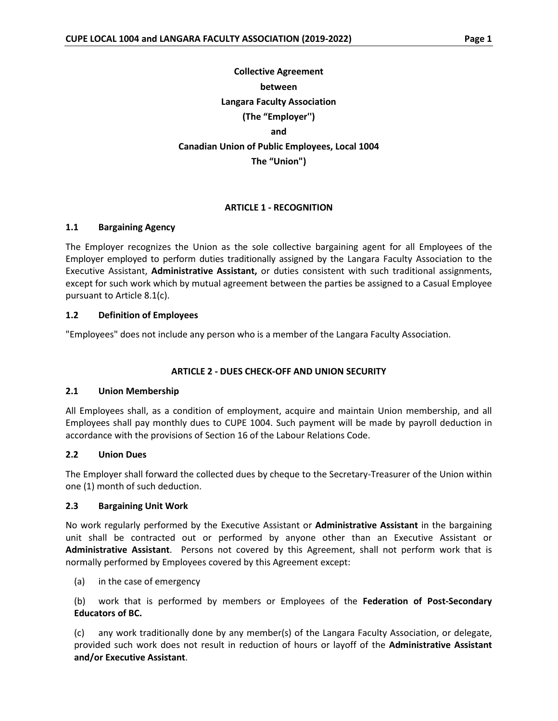# **Collective Agreement between Langara Faculty Association (The "Employer'') and Canadian Union of Public Employees, Local 1004 The "Union")**

#### **ARTICLE 1 - RECOGNITION**

#### <span id="page-5-1"></span><span id="page-5-0"></span>**1.1 Bargaining Agency**

The Employer recognizes the Union as the sole collective bargaining agent for all Employees of the Employer employed to perform duties traditionally assigned by the Langara Faculty Association to the Executive Assistant, **Administrative Assistant,** or duties consistent with such traditional assignments, except for such work which by mutual agreement between the parties be assigned to a Casual Employee pursuant to Article 8.1(c).

#### <span id="page-5-2"></span>**1.2 Definition of Employees**

<span id="page-5-3"></span>"Employees" does not include any person who is a member of the Langara Faculty Association.

#### **ARTICLE 2 - DUES CHECK-OFF AND UNION SECURITY**

#### <span id="page-5-4"></span>**2.1 Union Membership**

All Employees shall, as a condition of employment, acquire and maintain Union membership, and all Employees shall pay monthly dues to CUPE 1004. Such payment will be made by payroll deduction in accordance with the provisions of Section 16 of the Labour Relations Code.

#### <span id="page-5-5"></span>**2.2 Union Dues**

The Employer shall forward the collected dues by cheque to the Secretary-Treasurer of the Union within one (1) month of such deduction.

#### <span id="page-5-6"></span>**2.3 Bargaining Unit Work**

No work regularly performed by the Executive Assistant or **Administrative Assistant** in the bargaining unit shall be contracted out or performed by anyone other than an Executive Assistant or **Administrative Assistant**. Persons not covered by this Agreement, shall not perform work that is normally performed by Employees covered by this Agreement except:

(a) in the case of emergency

(b) work that is performed by members or Employees of the **Federation of Post-Secondary Educators of BC.**

(c) any work traditionally done by any member(s) of the Langara Faculty Association, or delegate, provided such work does not result in reduction of hours or layoff of the **Administrative Assistant and/or Executive Assistant**.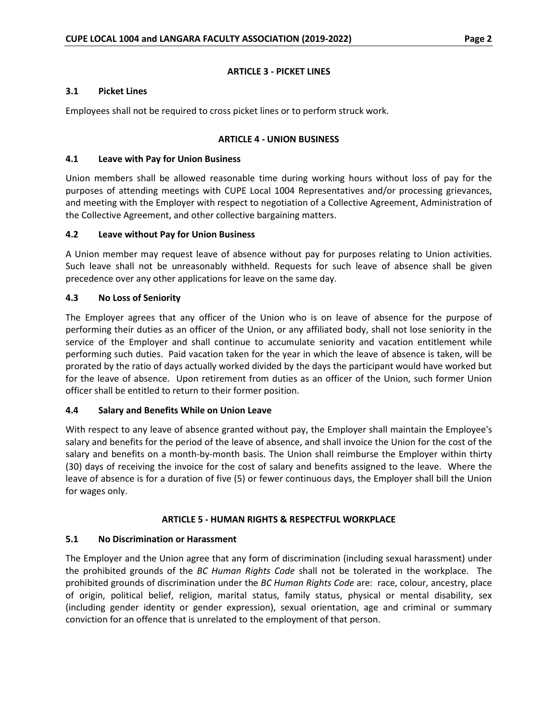### **ARTICLE 3 - PICKET LINES**

### <span id="page-6-1"></span><span id="page-6-0"></span>**3.1 Picket Lines**

<span id="page-6-2"></span>Employees shall not be required to cross picket lines or to perform struck work.

#### **ARTICLE 4 - UNION BUSINESS**

### <span id="page-6-3"></span>**4.1 Leave with Pay for Union Business**

Union members shall be allowed reasonable time during working hours without loss of pay for the purposes of attending meetings with CUPE Local 1004 Representatives and/or processing grievances, and meeting with the Employer with respect to negotiation of a Collective Agreement, Administration of the Collective Agreement, and other collective bargaining matters.

### <span id="page-6-4"></span>**4.2 Leave without Pay for Union Business**

A Union member may request leave of absence without pay for purposes relating to Union activities. Such leave shall not be unreasonably withheld. Requests for such leave of absence shall be given precedence over any other applications for leave on the same day.

### <span id="page-6-5"></span>**4.3 No Loss of Seniority**

The Employer agrees that any officer of the Union who is on leave of absence for the purpose of performing their duties as an officer of the Union, or any affiliated body, shall not lose seniority in the service of the Employer and shall continue to accumulate seniority and vacation entitlement while performing such duties. Paid vacation taken for the year in which the leave of absence is taken, will be prorated by the ratio of days actually worked divided by the days the participant would have worked but for the leave of absence. Upon retirement from duties as an officer of the Union, such former Union officer shall be entitled to return to their former position.

# <span id="page-6-6"></span>**4.4 Salary and Benefits While on Union Leave**

With respect to any leave of absence granted without pay, the Employer shall maintain the Employee's salary and benefits for the period of the leave of absence, and shall invoice the Union for the cost of the salary and benefits on a month-by-month basis. The Union shall reimburse the Employer within thirty (30) days of receiving the invoice for the cost of salary and benefits assigned to the leave. Where the leave of absence is for a duration of five (5) or fewer continuous days, the Employer shall bill the Union for wages only.

#### **ARTICLE 5 - HUMAN RIGHTS & RESPECTFUL WORKPLACE**

# <span id="page-6-8"></span><span id="page-6-7"></span>**5.1 No Discrimination or Harassment**

The Employer and the Union agree that any form of discrimination (including sexual harassment) under the prohibited grounds of the *BC Human Rights Code* shall not be tolerated in the workplace. The prohibited grounds of discrimination under the *BC Human Rights Code* are: race, colour, ancestry, place of origin, political belief, religion, marital status, family status, physical or mental disability, sex (including gender identity or gender expression), sexual orientation, age and criminal or summary conviction for an offence that is unrelated to the employment of that person.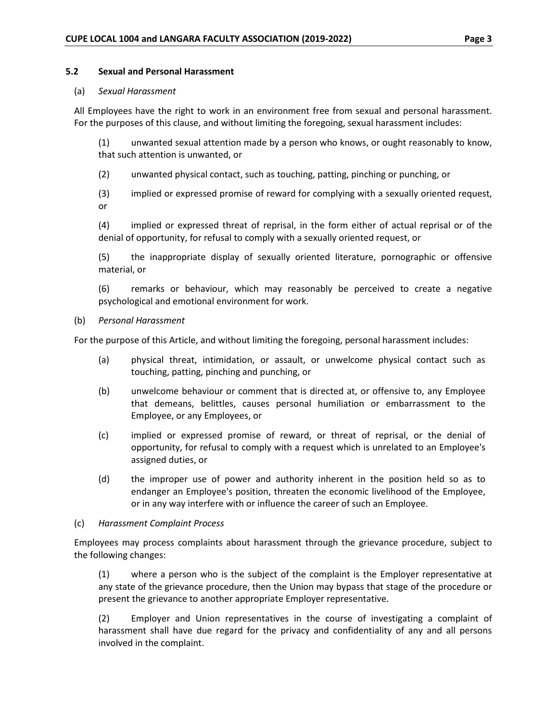#### <span id="page-7-0"></span>**5.2 Sexual and Personal Harassment**

#### (a) *Sexual Harassment*

All Employees have the right to work in an environment free from sexual and personal harassment. For the purposes of this clause, and without limiting the foregoing, sexual harassment includes:

(1) unwanted sexual attention made by a person who knows, or ought reasonably to know, that such attention is unwanted, or

(2) unwanted physical contact, such as touching, patting, pinching or punching, or

(3) implied or expressed promise of reward for complying with a sexually oriented request, or

(4) implied or expressed threat of reprisal, in the form either of actual reprisal or of the denial of opportunity, for refusal to comply with a sexually oriented request, or

(5) the inappropriate display of sexually oriented literature, pornographic or offensive material, or

(6) remarks or behaviour, which may reasonably be perceived to create a negative psychological and emotional environment for work.

#### (b) *Personal Harassment*

For the purpose of this Article, and without limiting the foregoing, personal harassment includes:

- (a) physical threat, intimidation, or assault, or unwelcome physical contact such as touching, patting, pinching and punching, or
- (b) unwelcome behaviour or comment that is directed at, or offensive to, any Employee that demeans, belittles, causes personal humiliation or embarrassment to the Employee, or any Employees, or
- (c) implied or expressed promise of reward, or threat of reprisal, or the denial of opportunity, for refusal to comply with a request which is unrelated to an Employee's assigned duties, or
- (d) the improper use of power and authority inherent in the position held so as to endanger an Employee's position, threaten the economic livelihood of the Employee, or in any way interfere with or influence the career of such an Employee.

#### (c) *Harassment Complaint Process*

Employees may process complaints about harassment through the grievance procedure, subject to the following changes:

(1) where a person who is the subject of the complaint is the Employer representative at any state of the grievance procedure, then the Union may bypass that stage of the procedure or present the grievance to another appropriate Employer representative.

(2) Employer and Union representatives in the course of investigating a complaint of harassment shall have due regard for the privacy and confidentiality of any and all persons involved in the complaint.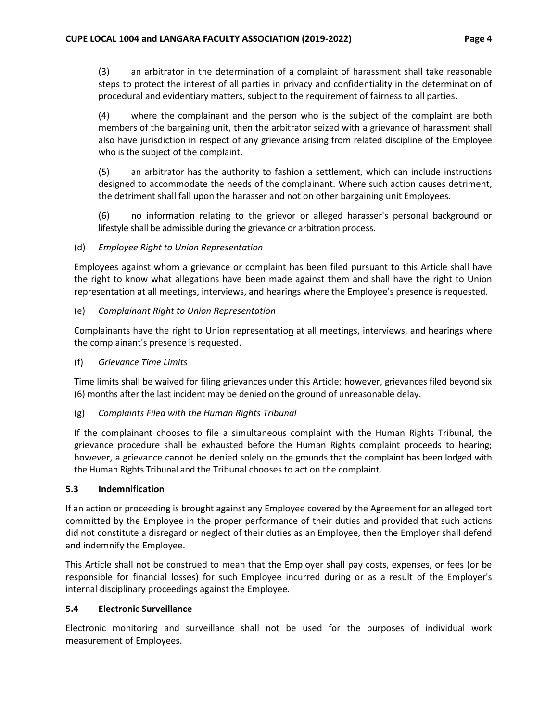(3) an arbitrator in the determination of a complaint of harassment shall take reasonable steps to protect the interest of all parties in privacy and confidentiality in the determination of procedural and evidentiary matters, subject to the requirement of fairness to all parties.

(4) where the complainant and the person who is the subject of the complaint are both members of the bargaining unit, then the arbitrator seized with a grievance of harassment shall also have jurisdiction in respect of any grievance arising from related discipline of the Employee who is the subject of the complaint.

(5) an arbitrator has the authority to fashion a settlement, which can include instructions designed to accommodate the needs of the complainant. Where such action causes detriment, the detriment shall fall upon the harasser and not on other bargaining unit Employees.

(6) no information relating to the grievor or alleged harasser's personal background or lifestyle shall be admissible during the grievance or arbitration process.

# (d) *Employee Right to Union Representation*

Employees against whom a grievance or complaint has been filed pursuant to this Article shall have the right to know what allegations have been made against them and shall have the right to Union representation at all meetings, interviews, and hearings where the Employee's presence is requested.

# (e) *Complainant Right to Union Representation*

Complainants have the right to Union representation at all meetings, interviews, and hearings where the complainant's presence is requested.

# (f) *Grievance Time Limits*

Time limits shall be waived for filing grievances under this Article; however, grievances filed beyond six (6) months after the last incident may be denied on the ground of unreasonable delay.

# (g) *Complaints Filed with the Human Rights Tribunal*

If the complainant chooses to file a simultaneous complaint with the Human Rights Tribunal, the grievance procedure shall be exhausted before the Human Rights complaint proceeds to hearing; however, a grievance cannot be denied solely on the grounds that the complaint has been lodged with the Human Rights Tribunal and the Tribunal chooses to act on the complaint.

# <span id="page-8-0"></span>**5.3 Indemnification**

If an action or proceeding is brought against any Employee covered by the Agreement for an alleged tort committed by the Employee in the proper performance of their duties and provided that such actions did not constitute a disregard or neglect of their duties as an Employee, then the Employer shall defend and indemnify the Employee.

This Article shall not be construed to mean that the Employer shall pay costs, expenses, or fees (or be responsible for financial losses) for such Employee incurred during or as a result of the Employer's internal disciplinary proceedings against the Employee.

# <span id="page-8-1"></span>**5.4 Electronic Surveillance**

Electronic monitoring and surveillance shall not be used for the purposes of individual work measurement of Employees.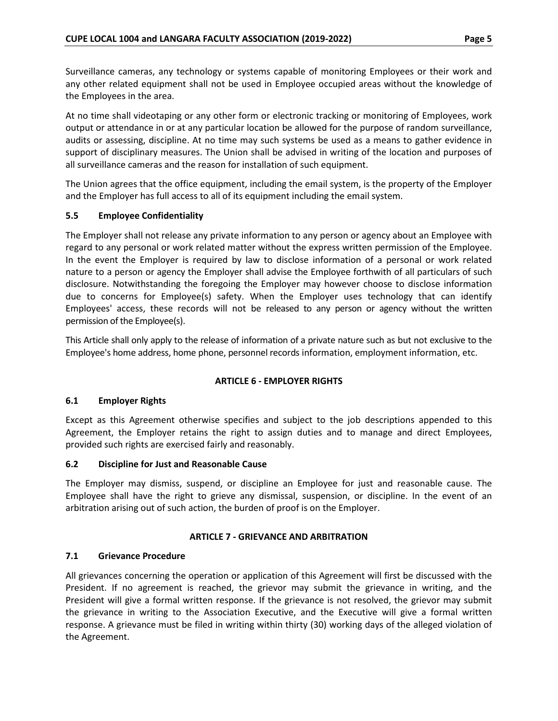Surveillance cameras, any technology or systems capable of monitoring Employees or their work and any other related equipment shall not be used in Employee occupied areas without the knowledge of the Employees in the area.

At no time shall videotaping or any other form or electronic tracking or monitoring of Employees, work output or attendance in or at any particular location be allowed for the purpose of random surveillance, audits or assessing, discipline. At no time may such systems be used as a means to gather evidence in support of disciplinary measures. The Union shall be advised in writing of the location and purposes of all surveillance cameras and the reason for installation of such equipment.

The Union agrees that the office equipment, including the email system, is the property of the Employer and the Employer has full access to all of its equipment including the email system.

# <span id="page-9-0"></span>**5.5 Employee Confidentiality**

The Employer shall not release any private information to any person or agency about an Employee with regard to any personal or work related matter without the express written permission of the Employee. In the event the Employer is required by law to disclose information of a personal or work related nature to a person or agency the Employer shall advise the Employee forthwith of all particulars of such disclosure. Notwithstanding the foregoing the Employer may however choose to disclose information due to concerns for Employee(s) safety. When the Employer uses technology that can identify Employees' access, these records will not be released to any person or agency without the written permission of the Employee(s).

This Article shall only apply to the release of information of a private nature such as but not exclusive to the Employee's home address, home phone, personnel records information, employment information, etc.

# **ARTICLE 6 - EMPLOYER RIGHTS**

# <span id="page-9-2"></span><span id="page-9-1"></span>**6.1 Employer Rights**

Except as this Agreement otherwise specifies and subject to the job descriptions appended to this Agreement, the Employer retains the right to assign duties and to manage and direct Employees, provided such rights are exercised fairly and reasonably.

# <span id="page-9-3"></span>**6.2 Discipline for Just and Reasonable Cause**

The Employer may dismiss, suspend, or discipline an Employee for just and reasonable cause. The Employee shall have the right to grieve any dismissal, suspension, or discipline. In the event of an arbitration arising out of such action, the burden of proof is on the Employer.

# **ARTICLE 7 - GRIEVANCE AND ARBITRATION**

# <span id="page-9-5"></span><span id="page-9-4"></span>**7.1 Grievance Procedure**

All grievances concerning the operation or application of this Agreement will first be discussed with the President. If no agreement is reached, the grievor may submit the grievance in writing, and the President will give a formal written response. If the grievance is not resolved, the grievor may submit the grievance in writing to the Association Executive, and the Executive will give a formal written response. A grievance must be filed in writing within thirty (30) working days of the alleged violation of the Agreement.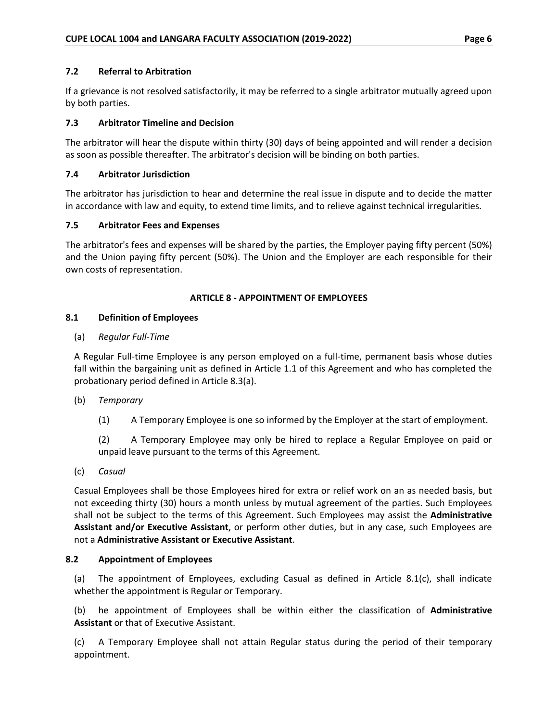### <span id="page-10-0"></span>**7.2 Referral to Arbitration**

If a grievance is not resolved satisfactorily, it may be referred to a single arbitrator mutually agreed upon by both parties.

# <span id="page-10-1"></span>**7.3 Arbitrator Timeline and Decision**

The arbitrator will hear the dispute within thirty (30) days of being appointed and will render a decision as soon as possible thereafter. The arbitrator's decision will be binding on both parties.

#### <span id="page-10-2"></span>**7.4 Arbitrator Jurisdiction**

The arbitrator has jurisdiction to hear and determine the real issue in dispute and to decide the matter in accordance with law and equity, to extend time limits, and to relieve against technical irregularities.

#### <span id="page-10-3"></span>**7.5 Arbitrator Fees and Expenses**

The arbitrator's fees and expenses will be shared by the parties, the Employer paying fifty percent (50%) and the Union paying fifty percent (50%). The Union and the Employer are each responsible for their own costs of representation.

### **ARTICLE 8 - APPOINTMENT OF EMPLOYEES**

### <span id="page-10-5"></span><span id="page-10-4"></span>**8.1 Definition of Employees**

### (a) *Regular Full-Time*

A Regular Full-time Employee is any person employed on a full-time, permanent basis whose duties fall within the bargaining unit as defined in Article 1.1 of this Agreement and who has completed the probationary period defined in Article 8.3(a).

#### (b) *Temporary*

(1) A Temporary Employee is one so informed by the Employer at the start of employment.

(2) A Temporary Employee may only be hired to replace a Regular Employee on paid or unpaid leave pursuant to the terms of this Agreement.

(c) *Casual*

Casual Employees shall be those Employees hired for extra or relief work on an as needed basis, but not exceeding thirty (30) hours a month unless by mutual agreement of the parties. Such Employees shall not be subject to the terms of this Agreement. Such Employees may assist the **Administrative Assistant and/or Executive Assistant**, or perform other duties, but in any case, such Employees are not a **Administrative Assistant or Executive Assistant**.

#### <span id="page-10-6"></span>**8.2 Appointment of Employees**

(a) The appointment of Employees, excluding Casual as defined in Article 8.1(c), shall indicate whether the appointment is Regular or Temporary.

(b) he appointment of Employees shall be within either the classification of **Administrative Assistant** or that of Executive Assistant.

(c) A Temporary Employee shall not attain Regular status during the period of their temporary appointment.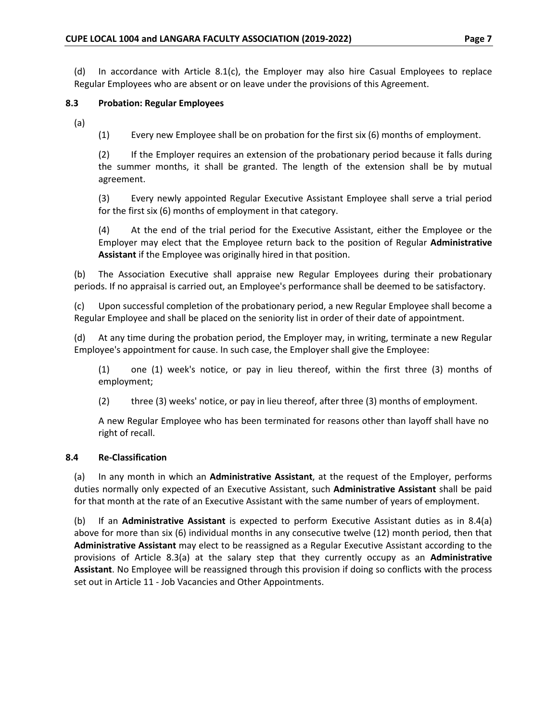(d) In accordance with Article 8.1(c), the Employer may also hire Casual Employees to replace Regular Employees who are absent or on leave under the provisions of this Agreement.

### <span id="page-11-0"></span>**8.3 Probation: Regular Employees**

(a)

(1) Every new Employee shall be on probation for the first six (6) months of employment.

(2) If the Employer requires an extension of the probationary period because it falls during the summer months, it shall be granted. The length of the extension shall be by mutual agreement.

(3) Every newly appointed Regular Executive Assistant Employee shall serve a trial period for the first six (6) months of employment in that category.

(4) At the end of the trial period for the Executive Assistant, either the Employee or the Employer may elect that the Employee return back to the position of Regular **Administrative Assistant** if the Employee was originally hired in that position.

(b) The Association Executive shall appraise new Regular Employees during their probationary periods. If no appraisal is carried out, an Employee's performance shall be deemed to be satisfactory.

(c) Upon successful completion of the probationary period, a new Regular Employee shall become a Regular Employee and shall be placed on the seniority list in order of their date of appointment.

(d) At any time during the probation period, the Employer may, in writing, terminate a new Regular Employee's appointment for cause. In such case, the Employer shall give the Employee:

(1) one (1) week's notice, or pay in lieu thereof, within the first three (3) months of employment;

(2) three (3) weeks' notice, or pay in lieu thereof, after three (3) months of employment.

A new Regular Employee who has been terminated for reasons other than layoff shall have no right of recall.

# <span id="page-11-1"></span>**8.4 Re-Classification**

(a) In any month in which an **Administrative Assistant**, at the request of the Employer, performs duties normally only expected of an Executive Assistant, such **Administrative Assistant** shall be paid for that month at the rate of an Executive Assistant with the same number of years of employment.

(b) If an **Administrative Assistant** is expected to perform Executive Assistant duties as in 8.4(a) above for more than six (6) individual months in any consecutive twelve (12) month period, then that **Administrative Assistant** may elect to be reassigned as a Regular Executive Assistant according to the provisions of Article 8.3(a) at the salary step that they currently occupy as an **Administrative Assistant**. No Employee will be reassigned through this provision if doing so conflicts with the process set out in Article 11 - Job Vacancies and Other Appointments.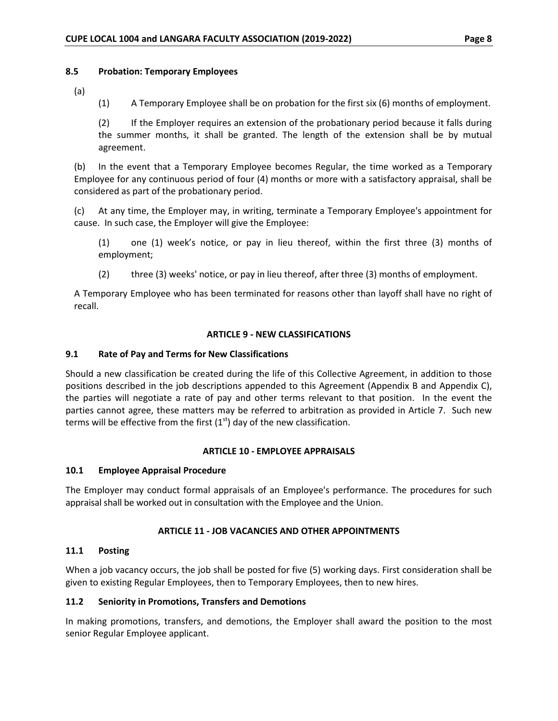#### <span id="page-12-0"></span>**8.5 Probation: Temporary Employees**

(a)

(1) A Temporary Employee shall be on probation for the first six (6) months of employment.

(2) If the Employer requires an extension of the probationary period because it falls during the summer months, it shall be granted. The length of the extension shall be by mutual agreement.

(b) In the event that a Temporary Employee becomes Regular, the time worked as a Temporary Employee for any continuous period of four (4) months or more with a satisfactory appraisal, shall be considered as part of the probationary period.

(c) At any time, the Employer may, in writing, terminate a Temporary Employee's appointment for cause. In such case, the Employer will give the Employee:

(1) one (1) week's notice, or pay in lieu thereof, within the first three (3) months of employment;

(2) three (3) weeks' notice, or pay in lieu thereof, after three (3) months of employment.

A Temporary Employee who has been terminated for reasons other than layoff shall have no right of recall.

#### **ARTICLE 9 - NEW CLASSIFICATIONS**

#### <span id="page-12-2"></span><span id="page-12-1"></span>**9.1 Rate of Pay and Terms for New Classifications**

Should a new classification be created during the life of this Collective Agreement, in addition to those positions described in the job descriptions appended to this Agreement (Appendix B and Appendix C), the parties will negotiate a rate of pay and other terms relevant to that position. In the event the parties cannot agree, these matters may be referred to arbitration as provided in Article 7. Such new terms will be effective from the first  $(1<sup>st</sup>)$  day of the new classification.

#### **ARTICLE 10 - EMPLOYEE APPRAISALS**

#### <span id="page-12-4"></span><span id="page-12-3"></span>**10.1 Employee Appraisal Procedure**

The Employer may conduct formal appraisals of an Employee's performance. The procedures for such appraisal shall be worked out in consultation with the Employee and the Union.

#### **ARTICLE 11 - JOB VACANCIES AND OTHER APPOINTMENTS**

#### <span id="page-12-6"></span><span id="page-12-5"></span>**11.1 Posting**

When a job vacancy occurs, the job shall be posted for five (5) working days. First consideration shall be given to existing Regular Employees, then to Temporary Employees, then to new hires.

#### <span id="page-12-7"></span>**11.2 Seniority in Promotions, Transfers and Demotions**

In making promotions, transfers, and demotions, the Employer shall award the position to the most senior Regular Employee applicant.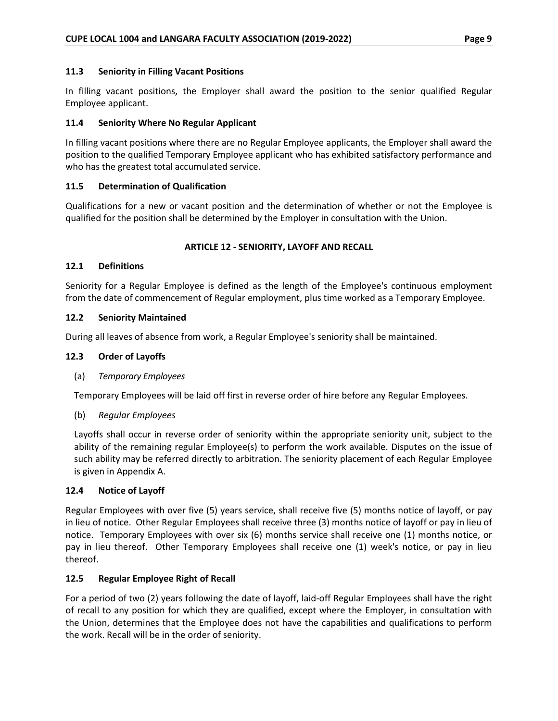#### <span id="page-13-0"></span>**11.3 Seniority in Filling Vacant Positions**

In filling vacant positions, the Employer shall award the position to the senior qualified Regular Employee applicant.

### <span id="page-13-1"></span>**11.4 Seniority Where No Regular Applicant**

In filling vacant positions where there are no Regular Employee applicants, the Employer shall award the position to the qualified Temporary Employee applicant who has exhibited satisfactory performance and who has the greatest total accumulated service.

### <span id="page-13-2"></span>**11.5 Determination of Qualification**

Qualifications for a new or vacant position and the determination of whether or not the Employee is qualified for the position shall be determined by the Employer in consultation with the Union.

### **ARTICLE 12 - SENIORITY, LAYOFF AND RECALL**

#### <span id="page-13-4"></span><span id="page-13-3"></span>**12.1 Definitions**

Seniority for a Regular Employee is defined as the length of the Employee's continuous employment from the date of commencement of Regular employment, plus time worked as a Temporary Employee.

### <span id="page-13-5"></span>**12.2 Seniority Maintained**

During all leaves of absence from work, a Regular Employee's seniority shall be maintained.

#### <span id="page-13-6"></span>**12.3 Order of Layoffs**

#### (a) *Temporary Employees*

Temporary Employees will be laid off first in reverse order of hire before any Regular Employees.

#### (b) *Regular Employees*

Layoffs shall occur in reverse order of seniority within the appropriate seniority unit, subject to the ability of the remaining regular Employee(s) to perform the work available. Disputes on the issue of such ability may be referred directly to arbitration. The seniority placement of each Regular Employee is given in Appendix A.

#### <span id="page-13-7"></span>**12.4 Notice of Layoff**

Regular Employees with over five (5) years service, shall receive five (5) months notice of layoff, or pay in lieu of notice. Other Regular Employees shall receive three (3) months notice of layoff or pay in lieu of notice. Temporary Employees with over six (6) months service shall receive one (1) months notice, or pay in lieu thereof. Other Temporary Employees shall receive one (1) week's notice, or pay in lieu thereof.

#### <span id="page-13-8"></span>**12.5 Regular Employee Right of Recall**

For a period of two (2) years following the date of layoff, laid-off Regular Employees shall have the right of recall to any position for which they are qualified, except where the Employer, in consultation with the Union, determines that the Employee does not have the capabilities and qualifications to perform the work. Recall will be in the order of seniority.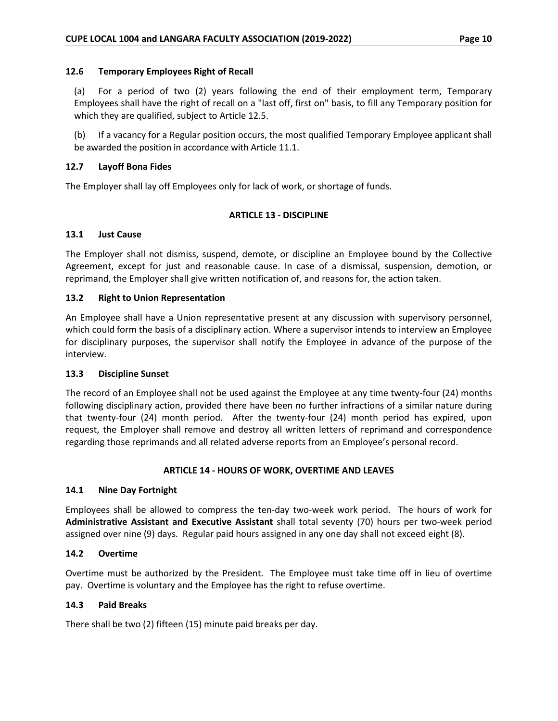#### <span id="page-14-0"></span>**12.6 Temporary Employees Right of Recall**

(a) For a period of two (2) years following the end of their employment term, Temporary Employees shall have the right of recall on a "last off, first on" basis, to fill any Temporary position for which they are qualified, subject to Article 12.5.

(b) If a vacancy for a Regular position occurs, the most qualified Temporary Employee applicant shall be awarded the position in accordance with Article 11.1.

### <span id="page-14-1"></span>**12.7 Layoff Bona Fides**

<span id="page-14-2"></span>The Employer shall lay off Employees only for lack of work, or shortage of funds.

### **ARTICLE 13 - DISCIPLINE**

### <span id="page-14-3"></span>**13.1 Just Cause**

The Employer shall not dismiss, suspend, demote, or discipline an Employee bound by the Collective Agreement, except for just and reasonable cause. In case of a dismissal, suspension, demotion, or reprimand, the Employer shall give written notification of, and reasons for, the action taken.

### <span id="page-14-4"></span>**13.2 Right to Union Representation**

An Employee shall have a Union representative present at any discussion with supervisory personnel, which could form the basis of a disciplinary action. Where a supervisor intends to interview an Employee for disciplinary purposes, the supervisor shall notify the Employee in advance of the purpose of the interview.

#### <span id="page-14-5"></span>**13.3 Discipline Sunset**

The record of an Employee shall not be used against the Employee at any time twenty-four (24) months following disciplinary action, provided there have been no further infractions of a similar nature during that twenty-four (24) month period. After the twenty-four (24) month period has expired, upon request, the Employer shall remove and destroy all written letters of reprimand and correspondence regarding those reprimands and all related adverse reports from an Employee's personal record.

# **ARTICLE 14 - HOURS OF WORK, OVERTIME AND LEAVES**

#### <span id="page-14-7"></span><span id="page-14-6"></span>**14.1 Nine Day Fortnight**

Employees shall be allowed to compress the ten-day two-week work period. The hours of work for **Administrative Assistant and Executive Assistant** shall total seventy (70) hours per two-week period assigned over nine (9) days. Regular paid hours assigned in any one day shall not exceed eight (8).

#### <span id="page-14-8"></span>**14.2 Overtime**

Overtime must be authorized by the President. The Employee must take time off in lieu of overtime pay. Overtime is voluntary and the Employee has the right to refuse overtime.

#### <span id="page-14-9"></span>**14.3 Paid Breaks**

There shall be two (2) fifteen (15) minute paid breaks per day.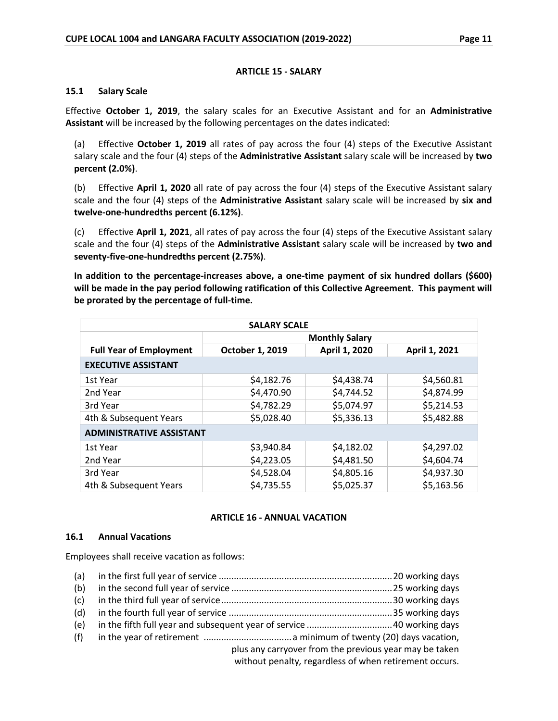#### **ARTICLE 15 - SALARY**

#### <span id="page-15-1"></span><span id="page-15-0"></span>**15.1 Salary Scale**

Effective **October 1, 2019**, the salary scales for an Executive Assistant and for an **Administrative Assistant** will be increased by the following percentages on the dates indicated:

(a) Effective **October 1, 2019** all rates of pay across the four (4) steps of the Executive Assistant salary scale and the four (4) steps of the **Administrative Assistant** salary scale will be increased by **two percent (2.0%)**.

(b) Effective **April 1, 2020** all rate of pay across the four (4) steps of the Executive Assistant salary scale and the four (4) steps of the **Administrative Assistant** salary scale will be increased by **six and twelve-one-hundredths percent (6.12%)**.

(c) Effective **April 1, 2021**, all rates of pay across the four (4) steps of the Executive Assistant salary scale and the four (4) steps of the **Administrative Assistant** salary scale will be increased by **two and seventy-five-one-hundredths percent (2.75%)**.

**In addition to the percentage-increases above, a one-time payment of six hundred dollars (\$600) will be made in the pay period following ratification of this Collective Agreement. This payment will be prorated by the percentage of full-time.**

| <b>SALARY SCALE</b>             |                 |                       |               |
|---------------------------------|-----------------|-----------------------|---------------|
|                                 |                 | <b>Monthly Salary</b> |               |
| <b>Full Year of Employment</b>  | October 1, 2019 | April 1, 2020         | April 1, 2021 |
| <b>EXECUTIVE ASSISTANT</b>      |                 |                       |               |
| 1st Year                        | \$4,182.76      | \$4,438.74            | \$4,560.81    |
| 2nd Year                        | \$4,470.90      | \$4,744.52            | \$4,874.99    |
| 3rd Year                        | \$4,782.29      | \$5,074.97            | \$5,214.53    |
| 4th & Subsequent Years          | \$5,028.40      | \$5,336.13            | \$5,482.88    |
| <b>ADMINISTRATIVE ASSISTANT</b> |                 |                       |               |
| 1st Year                        | \$3,940.84      | \$4,182.02            | \$4,297.02    |
| 2nd Year                        | \$4,223.05      | \$4,481.50            | \$4,604.74    |
| 3rd Year                        | \$4,528.04      | \$4,805.16            | \$4,937.30    |
| 4th & Subsequent Years          | \$4,735.55      | \$5,025.37            | \$5,163.56    |

# **ARTICLE 16 - ANNUAL VACATION**

#### <span id="page-15-3"></span><span id="page-15-2"></span>**16.1 Annual Vacations**

Employees shall receive vacation as follows:

| (a) |                                                        |
|-----|--------------------------------------------------------|
| (b) |                                                        |
| (c) |                                                        |
| (d) |                                                        |
| (e) |                                                        |
| (f) |                                                        |
|     | plus any carryover from the previous year may be taken |
|     | without penalty, regardless of when retirement occurs. |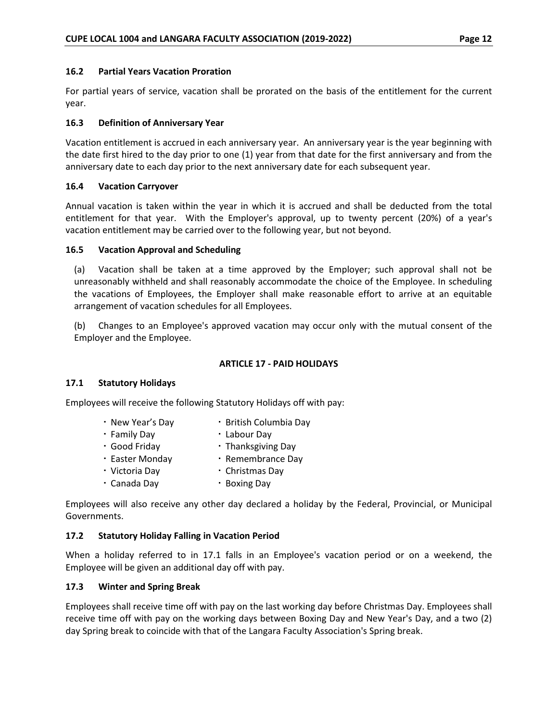### <span id="page-16-0"></span>**16.2 Partial Years Vacation Proration**

For partial years of service, vacation shall be prorated on the basis of the entitlement for the current year.

### <span id="page-16-1"></span>**16.3 Definition of Anniversary Year**

Vacation entitlement is accrued in each anniversary year. An anniversary year is the year beginning with the date first hired to the day prior to one (1) year from that date for the first anniversary and from the anniversary date to each day prior to the next anniversary date for each subsequent year.

### <span id="page-16-2"></span>**16.4 Vacation Carryover**

Annual vacation is taken within the year in which it is accrued and shall be deducted from the total entitlement for that year. With the Employer's approval, up to twenty percent (20%) of a year's vacation entitlement may be carried over to the following year, but not beyond.

### <span id="page-16-3"></span>**16.5 Vacation Approval and Scheduling**

(a) Vacation shall be taken at a time approved by the Employer; such approval shall not be unreasonably withheld and shall reasonably accommodate the choice of the Employee. In scheduling the vacations of Employees, the Employer shall make reasonable effort to arrive at an equitable arrangement of vacation schedules for all Employees.

(b) Changes to an Employee's approved vacation may occur only with the mutual consent of the Employer and the Employee.

### **ARTICLE 17 - PAID HOLIDAYS**

#### <span id="page-16-5"></span><span id="page-16-4"></span>**17.1 Statutory Holidays**

Employees will receive the following Statutory Holidays off with pay:

| . New Year's Day | · British Columbia Day |
|------------------|------------------------|
| • Family Day     | • Labour Day           |
| · Good Friday    | • Thanksgiving Day     |
| · Easter Monday  | · Remembrance Day      |
|                  |                        |

- Victoria Day Christmas Day
- Canada Day Boxing Day

Employees will also receive any other day declared a holiday by the Federal, Provincial, or Municipal Governments.

# <span id="page-16-6"></span>**17.2 Statutory Holiday Falling in Vacation Period**

When a holiday referred to in 17.1 falls in an Employee's vacation period or on a weekend, the Employee will be given an additional day off with pay.

# <span id="page-16-7"></span>**17.3 Winter and Spring Break**

Employees shall receive time off with pay on the last working day before Christmas Day. Employees shall receive time off with pay on the working days between Boxing Day and New Year's Day, and a two (2) day Spring break to coincide with that of the Langara Faculty Association's Spring break.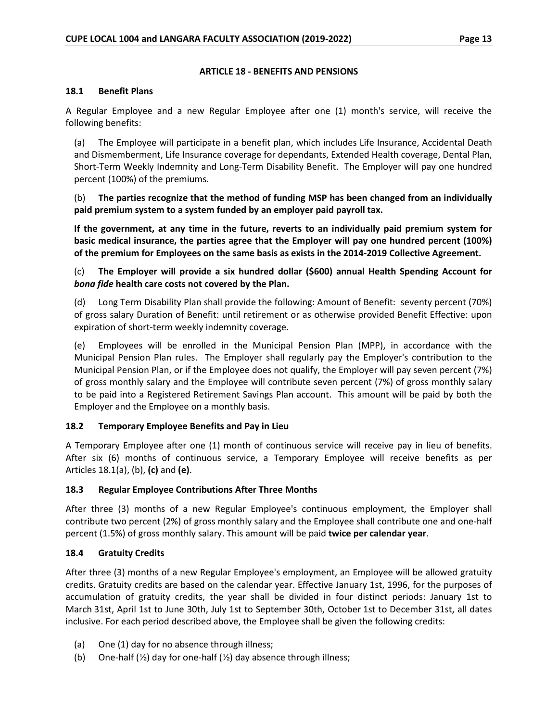#### **ARTICLE 18 - BENEFITS AND PENSIONS**

#### <span id="page-17-1"></span><span id="page-17-0"></span>**18.1 Benefit Plans**

A Regular Employee and a new Regular Employee after one (1) month's service, will receive the following benefits:

(a) The Employee will participate in a benefit plan, which includes Life Insurance, Accidental Death and Dismemberment, Life Insurance coverage for dependants, Extended Health coverage, Dental Plan, Short-Term Weekly Indemnity and Long-Term Disability Benefit. The Employer will pay one hundred percent (100%) of the premiums.

(b) **The parties recognize that the method of funding MSP has been changed from an individually paid premium system to a system funded by an employer paid payroll tax.** 

**If the government, at any time in the future, reverts to an individually paid premium system for basic medical insurance, the parties agree that the Employer will pay one hundred percent (100%) of the premium for Employees on the same basis as exists in the 2014-2019 Collective Agreement.**

(c) **The Employer will provide a six hundred dollar (\$600) annual Health Spending Account for**  *bona fide* **health care costs not covered by the Plan.**

(d) Long Term Disability Plan shall provide the following: Amount of Benefit: seventy percent (70%) of gross salary Duration of Benefit: until retirement or as otherwise provided Benefit Effective: upon expiration of short-term weekly indemnity coverage.

(e) Employees will be enrolled in the Municipal Pension Plan (MPP), in accordance with the Municipal Pension Plan rules. The Employer shall regularly pay the Employer's contribution to the Municipal Pension Plan, or if the Employee does not qualify, the Employer will pay seven percent (7%) of gross monthly salary and the Employee will contribute seven percent (7%) of gross monthly salary to be paid into a Registered Retirement Savings Plan account. This amount will be paid by both the Employer and the Employee on a monthly basis.

# <span id="page-17-2"></span>**18.2 Temporary Employee Benefits and Pay in Lieu**

A Temporary Employee after one (1) month of continuous service will receive pay in lieu of benefits. After six (6) months of continuous service, a Temporary Employee will receive benefits as per Articles 18.1(a), (b), **(c)** and **(e)**.

#### <span id="page-17-3"></span>**18.3 Regular Employee Contributions After Three Months**

After three (3) months of a new Regular Employee's continuous employment, the Employer shall contribute two percent (2%) of gross monthly salary and the Employee shall contribute one and one-half percent (1.5%) of gross monthly salary. This amount will be paid **twice per calendar year**.

# <span id="page-17-4"></span>**18.4 Gratuity Credits**

After three (3) months of a new Regular Employee's employment, an Employee will be allowed gratuity credits. Gratuity credits are based on the calendar year. Effective January 1st, 1996, for the purposes of accumulation of gratuity credits, the year shall be divided in four distinct periods: January 1st to March 31st, April 1st to June 30th, July 1st to September 30th, October 1st to December 31st, all dates inclusive. For each period described above, the Employee shall be given the following credits:

- (a) One (1) day for no absence through illness;
- (b) One-half  $(\frac{1}{2})$  day for one-half  $(\frac{1}{2})$  day absence through illness;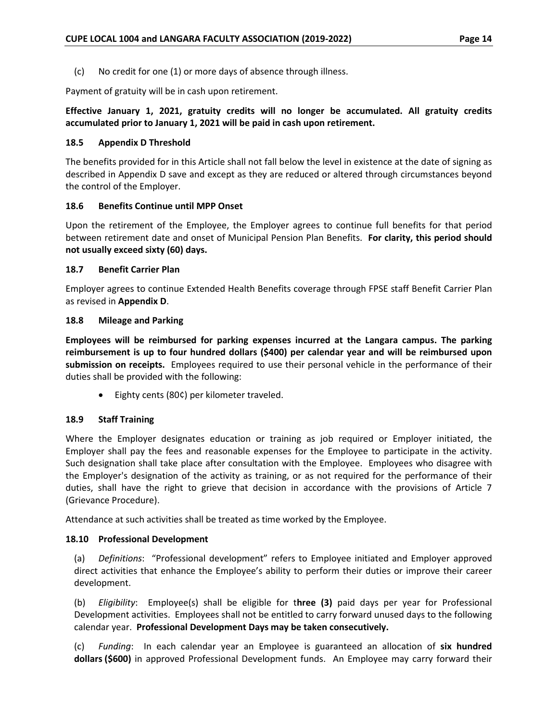(c) No credit for one (1) or more days of absence through illness.

Payment of gratuity will be in cash upon retirement.

# **Effective January 1, 2021, gratuity credits will no longer be accumulated. All gratuity credits accumulated prior to January 1, 2021 will be paid in cash upon retirement.**

#### <span id="page-18-0"></span>**18.5 Appendix D Threshold**

The benefits provided for in this Article shall not fall below the level in existence at the date of signing as described in Appendix D save and except as they are reduced or altered through circumstances beyond the control of the Employer.

### <span id="page-18-1"></span>**18.6 Benefits Continue until MPP Onset**

Upon the retirement of the Employee, the Employer agrees to continue full benefits for that period between retirement date and onset of Municipal Pension Plan Benefits. **For clarity, this period should not usually exceed sixty (60) days.**

### <span id="page-18-2"></span>**18.7 Benefit Carrier Plan**

Employer agrees to continue Extended Health Benefits coverage through FPSE staff Benefit Carrier Plan as revised in **Appendix D**.

### <span id="page-18-3"></span>**18.8 Mileage and Parking**

**Employees will be reimbursed for parking expenses incurred at the Langara campus. The parking reimbursement is up to four hundred dollars (\$400) per calendar year and will be reimbursed upon submission on receipts.** Employees required to use their personal vehicle in the performance of their duties shall be provided with the following:

• Eighty cents (80¢) per kilometer traveled.

# <span id="page-18-4"></span>**18.9 Staff Training**

Where the Employer designates education or training as job required or Employer initiated, the Employer shall pay the fees and reasonable expenses for the Employee to participate in the activity. Such designation shall take place after consultation with the Employee. Employees who disagree with the Employer's designation of the activity as training, or as not required for the performance of their duties, shall have the right to grieve that decision in accordance with the provisions of Article 7 (Grievance Procedure).

Attendance at such activities shall be treated as time worked by the Employee.

# <span id="page-18-5"></span>**18.10 Professional Development**

(a) *Definitions*: "Professional development" refers to Employee initiated and Employer approved direct activities that enhance the Employee's ability to perform their duties or improve their career development.

(b) *Eligibility*: Employee(s) shall be eligible for t**hree (3)** paid days per year for Professional Development activities. Employees shall not be entitled to carry forward unused days to the following calendar year. **Professional Development Days may be taken consecutively.**

(c) *Funding*: In each calendar year an Employee is guaranteed an allocation of **six hundred dollars (\$600)** in approved Professional Development funds. An Employee may carry forward their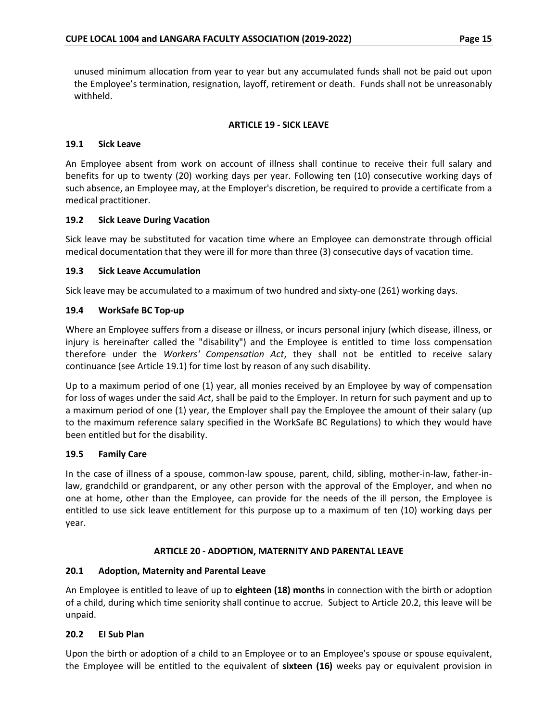unused minimum allocation from year to year but any accumulated funds shall not be paid out upon the Employee's termination, resignation, layoff, retirement or death. Funds shall not be unreasonably withheld.

#### **ARTICLE 19 - SICK LEAVE**

#### <span id="page-19-1"></span><span id="page-19-0"></span>**19.1 Sick Leave**

An Employee absent from work on account of illness shall continue to receive their full salary and benefits for up to twenty (20) working days per year. Following ten (10) consecutive working days of such absence, an Employee may, at the Employer's discretion, be required to provide a certificate from a medical practitioner.

#### <span id="page-19-2"></span>**19.2 Sick Leave During Vacation**

Sick leave may be substituted for vacation time where an Employee can demonstrate through official medical documentation that they were ill for more than three (3) consecutive days of vacation time.

#### <span id="page-19-3"></span>**19.3 Sick Leave Accumulation**

Sick leave may be accumulated to a maximum of two hundred and sixty-one (261) working days.

#### <span id="page-19-4"></span>**19.4 WorkSafe BC Top-up**

Where an Employee suffers from a disease or illness, or incurs personal injury (which disease, illness, or injury is hereinafter called the "disability") and the Employee is entitled to time loss compensation therefore under the *Workers' Compensation Act*, they shall not be entitled to receive salary continuance (see Article 19.1) for time lost by reason of any such disability.

Up to a maximum period of one (1) year, all monies received by an Employee by way of compensation for loss of wages under the said *Act*, shall be paid to the Employer. In return for such payment and up to a maximum period of one (1) year, the Employer shall pay the Employee the amount of their salary (up to the maximum reference salary specified in the WorkSafe BC Regulations) to which they would have been entitled but for the disability.

#### <span id="page-19-5"></span>**19.5 Family Care**

In the case of illness of a spouse, common-law spouse, parent, child, sibling, mother-in-law, father-inlaw, grandchild or grandparent, or any other person with the approval of the Employer, and when no one at home, other than the Employee, can provide for the needs of the ill person, the Employee is entitled to use sick leave entitlement for this purpose up to a maximum of ten (10) working days per year.

#### **ARTICLE 20 - ADOPTION, MATERNITY AND PARENTAL LEAVE**

#### <span id="page-19-7"></span><span id="page-19-6"></span>**20.1 Adoption, Maternity and Parental Leave**

An Employee is entitled to leave of up to **eighteen (18) months** in connection with the birth or adoption of a child, during which time seniority shall continue to accrue. Subject to Article 20.2, this leave will be unpaid.

#### <span id="page-19-8"></span>**20.2 EI Sub Plan**

Upon the birth or adoption of a child to an Employee or to an Employee's spouse or spouse equivalent, the Employee will be entitled to the equivalent of **sixteen (16)** weeks pay or equivalent provision in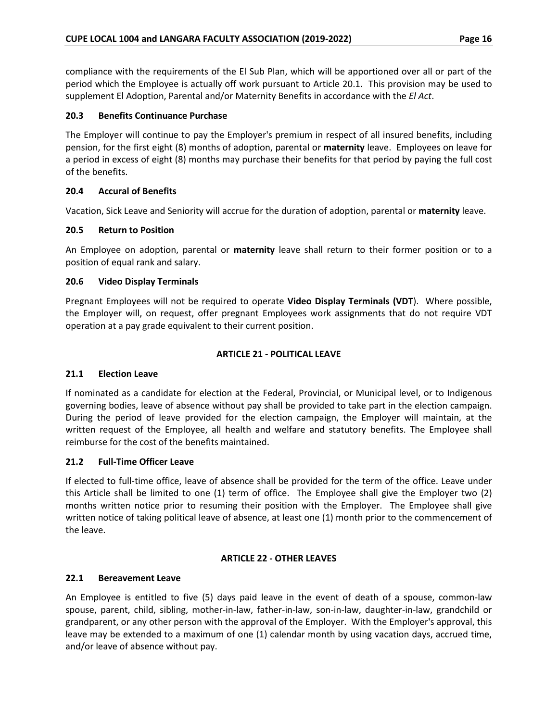compliance with the requirements of the El Sub Plan, which will be apportioned over all or part of the period which the Employee is actually off work pursuant to Article 20.1. This provision may be used to supplement El Adoption, Parental and/or Maternity Benefits in accordance with the *El Act*.

### <span id="page-20-0"></span>**20.3 Benefits Continuance Purchase**

The Employer will continue to pay the Employer's premium in respect of all insured benefits, including pension, for the first eight (8) months of adoption, parental or **maternity** leave. Employees on leave for a period in excess of eight (8) months may purchase their benefits for that period by paying the full cost of the benefits.

### <span id="page-20-1"></span>**20.4 Accural of Benefits**

Vacation, Sick Leave and Seniority will accrue for the duration of adoption, parental or **maternity** leave.

### <span id="page-20-2"></span>**20.5 Return to Position**

An Employee on adoption, parental or **maternity** leave shall return to their former position or to a position of equal rank and salary.

### <span id="page-20-3"></span>**20.6 Video Display Terminals**

Pregnant Employees will not be required to operate **Video Display Terminals (VDT**). Where possible, the Employer will, on request, offer pregnant Employees work assignments that do not require VDT operation at a pay grade equivalent to their current position.

### **ARTICLE 21 - POLITICAL LEAVE**

# <span id="page-20-5"></span><span id="page-20-4"></span>**21.1 Election Leave**

If nominated as a candidate for election at the Federal, Provincial, or Municipal level, or to Indigenous governing bodies, leave of absence without pay shall be provided to take part in the election campaign. During the period of leave provided for the election campaign, the Employer will maintain, at the written request of the Employee, all health and welfare and statutory benefits. The Employee shall reimburse for the cost of the benefits maintained.

#### <span id="page-20-6"></span>**21.2 Full-Time Officer Leave**

If elected to full-time office, leave of absence shall be provided for the term of the office. Leave under this Article shall be limited to one (1) term of office. The Employee shall give the Employer two (2) months written notice prior to resuming their position with the Employer. The Employee shall give written notice of taking political leave of absence, at least one (1) month prior to the commencement of the leave.

#### **ARTICLE 22 - OTHER LEAVES**

#### <span id="page-20-8"></span><span id="page-20-7"></span>**22.1 Bereavement Leave**

An Employee is entitled to five (5) days paid leave in the event of death of a spouse, common-law spouse, parent, child, sibling, mother-in-law, father-in-law, son-in-law, daughter-in-law, grandchild or grandparent, or any other person with the approval of the Employer. With the Employer's approval, this leave may be extended to a maximum of one (1) calendar month by using vacation days, accrued time, and/or leave of absence without pay.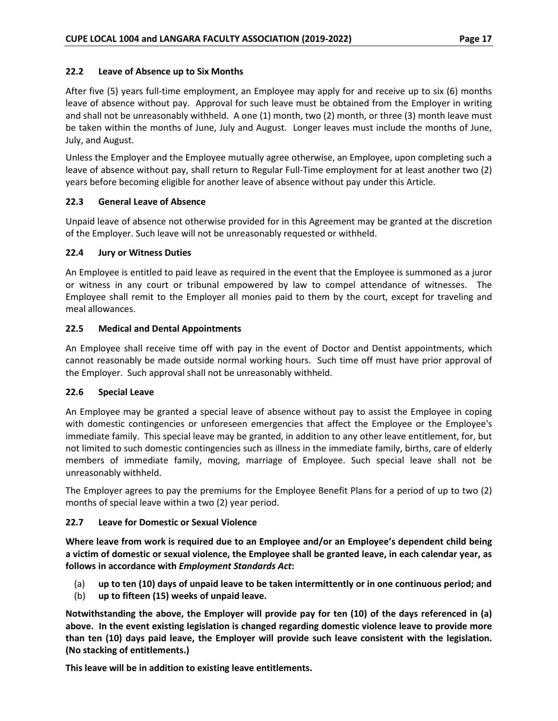#### <span id="page-21-0"></span>**22.2 Leave of Absence up to Six Months**

After five (5) years full-time employment, an Employee may apply for and receive up to six (6) months leave of absence without pay. Approval for such leave must be obtained from the Employer in writing and shall not be unreasonably withheld. A one (1) month, two (2) month, or three (3) month leave must be taken within the months of June, July and August. Longer leaves must include the months of June, July, and August.

Unless the Employer and the Employee mutually agree otherwise, an Employee, upon completing such a leave of absence without pay, shall return to Regular Full-Time employment for at least another two (2) years before becoming eligible for another leave of absence without pay under this Article.

#### <span id="page-21-1"></span>**22.3 General Leave of Absence**

Unpaid leave of absence not otherwise provided for in this Agreement may be granted at the discretion of the Employer. Such leave will not be unreasonably requested or withheld.

#### <span id="page-21-2"></span>**22.4 Jury or Witness Duties**

An Employee is entitled to paid leave as required in the event that the Employee is summoned as a juror or witness in any court or tribunal empowered by law to compel attendance of witnesses. The Employee shall remit to the Employer all monies paid to them by the court, except for traveling and meal allowances.

### <span id="page-21-3"></span>**22.5 Medical and Dental Appointments**

An Employee shall receive time off with pay in the event of Doctor and Dentist appointments, which cannot reasonably be made outside normal working hours. Such time off must have prior approval of the Employer. Such approval shall not be unreasonably withheld.

#### <span id="page-21-4"></span>**22.6 Special Leave**

An Employee may be granted a special leave of absence without pay to assist the Employee in coping with domestic contingencies or unforeseen emergencies that affect the Employee or the Employee's immediate family. This special leave may be granted, in addition to any other leave entitlement, for, but not limited to such domestic contingencies such as illness in the immediate family, births, care of elderly members of immediate family, moving, marriage of Employee. Such special leave shall not be unreasonably withheld.

The Employer agrees to pay the premiums for the Employee Benefit Plans for a period of up to two (2) months of special leave within a two (2) year period.

# <span id="page-21-5"></span>**22.7 Leave for Domestic or Sexual Violence**

**Where leave from work is required due to an Employee and/or an Employee's dependent child being a victim of domestic or sexual violence, the Employee shall be granted leave, in each calendar year, as follows in accordance with** *Employment Standards Act***:**

- (a) **up to ten (10) days of unpaid leave to be taken intermittently or in one continuous period; and**
- (b) **up to fifteen (15) weeks of unpaid leave.**

**Notwithstanding the above, the Employer will provide pay for ten (10) of the days referenced in (a) above. In the event existing legislation is changed regarding domestic violence leave to provide more than ten (10) days paid leave, the Employer will provide such leave consistent with the legislation. (No stacking of entitlements.)** 

**This leave will be in addition to existing leave entitlements.**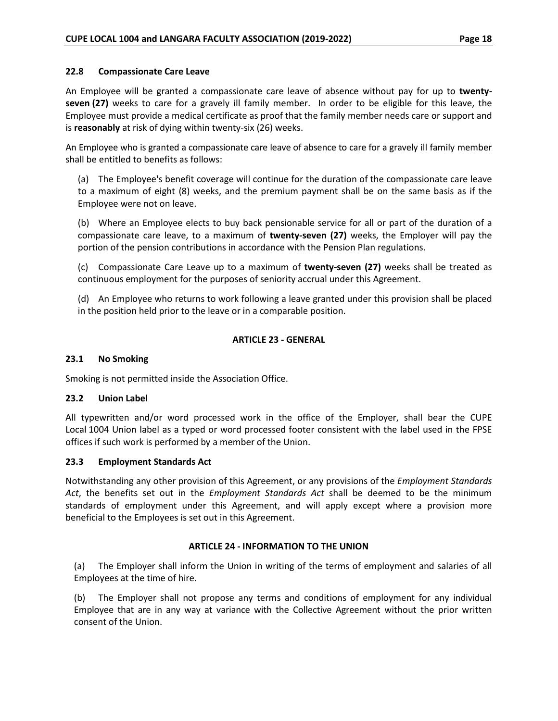#### <span id="page-22-0"></span>**22.8 Compassionate Care Leave**

An Employee will be granted a compassionate care leave of absence without pay for up to **twentyseven (27)** weeks to care for a gravely ill family member. In order to be eligible for this leave, the Employee must provide a medical certificate as proof that the family member needs care or support and is **reasonably** at risk of dying within twenty-six (26) weeks.

An Employee who is granted a compassionate care leave of absence to care for a gravely ill family member shall be entitled to benefits as follows:

(a) The Employee's benefit coverage will continue for the duration of the compassionate care leave to a maximum of eight (8) weeks, and the premium payment shall be on the same basis as if the Employee were not on leave.

(b) Where an Employee elects to buy back pensionable service for all or part of the duration of a compassionate care leave, to a maximum of **twenty-seven (27)** weeks, the Employer will pay the portion of the pension contributions in accordance with the Pension Plan regulations.

(c) Compassionate Care Leave up to a maximum of **twenty-seven (27)** weeks shall be treated as continuous employment for the purposes of seniority accrual under this Agreement.

(d) An Employee who returns to work following a leave granted under this provision shall be placed in the position held prior to the leave or in a comparable position.

### **ARTICLE 23 - GENERAL**

#### <span id="page-22-2"></span><span id="page-22-1"></span>**23.1 No Smoking**

Smoking is not permitted inside the Association Office.

#### <span id="page-22-3"></span>**23.2 Union Label**

All typewritten and/or word processed work in the office of the Employer, shall bear the CUPE Local 1004 Union label as a typed or word processed footer consistent with the label used in the FPSE offices if such work is performed by a member of the Union.

#### <span id="page-22-4"></span>**23.3 Employment Standards Act**

Notwithstanding any other provision of this Agreement, or any provisions of the *Employment Standards Act*, the benefits set out in the *Employment Standards Act* shall be deemed to be the minimum standards of employment under this Agreement, and will apply except where a provision more beneficial to the Employees is set out in this Agreement.

#### **ARTICLE 24 - INFORMATION TO THE UNION**

<span id="page-22-5"></span>(a) The Employer shall inform the Union in writing of the terms of employment and salaries of all Employees at the time of hire.

(b) The Employer shall not propose any terms and conditions of employment for any individual Employee that are in any way at variance with the Collective Agreement without the prior written consent of the Union.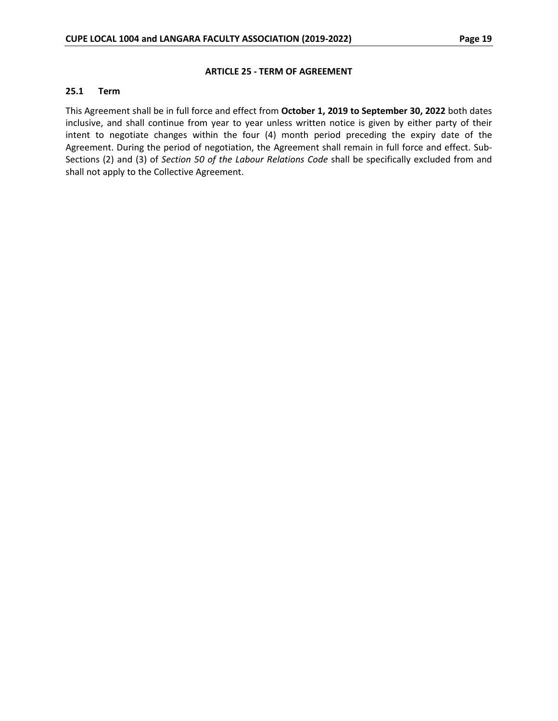#### **ARTICLE 25 - TERM OF AGREEMENT**

#### <span id="page-23-1"></span><span id="page-23-0"></span>**25.1 Term**

This Agreement shall be in full force and effect from **October 1, 2019 to September 30, 2022** both dates inclusive, and shall continue from year to year unless written notice is given by either party of their intent to negotiate changes within the four (4) month period preceding the expiry date of the Agreement. During the period of negotiation, the Agreement shall remain in full force and effect. Sub-Sections (2) and (3) of *Section 50 of the Labour Relations Code* shall be specifically excluded from and shall not apply to the Collective Agreement.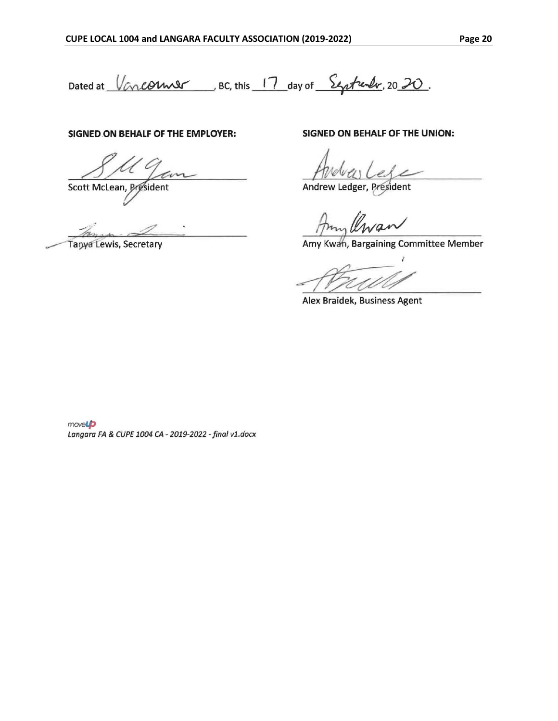Dated at Vancorner BC, this 17 day of Systemly, 2020.

### SIGNED ON BEHALF OF THE EMPLOYER:

Scott McLean, President

Tanya Lewis, Secretary

SIGNED ON BEHALF OF THE UNION:

Andrew Ledger, Président

Amy Kwah, Bargaining Committee Member

Alex Braidek, Business Agent

movel Langara FA & CUPE 1004 CA - 2019-2022 - final v1.docx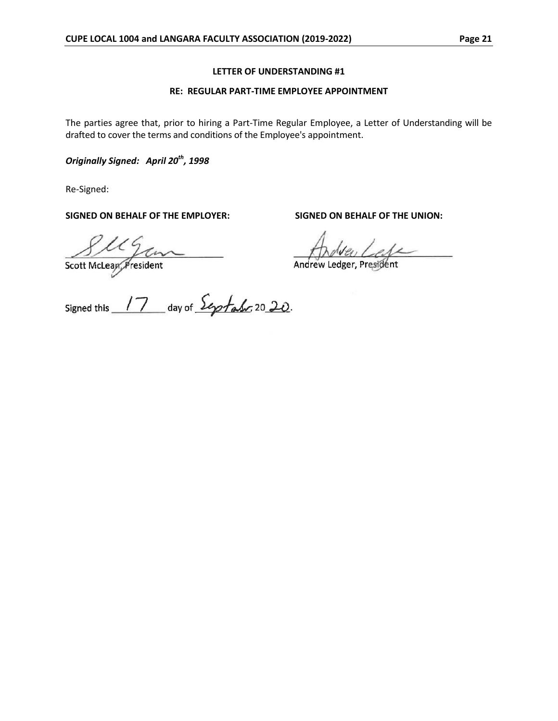#### **LETTER OF UNDERSTANDING #1**

#### **RE: REGULAR PART-TIME EMPLOYEE APPOINTMENT**

<span id="page-25-0"></span>The parties agree that, prior to hiring a Part-Time Regular Employee, a Letter of Understanding will be drafted to cover the terms and conditions of the Employee's appointment.

*Originally Signed: April 20th, 1998*

Re-Signed:

**SIGNED ON BEHALF OF THE EMPLOYER: SIGNED ON BEHALF OF THE UNION:**

Section McLear President 

Andrew Ledger, President

Signed this 17 day of Septato 2020.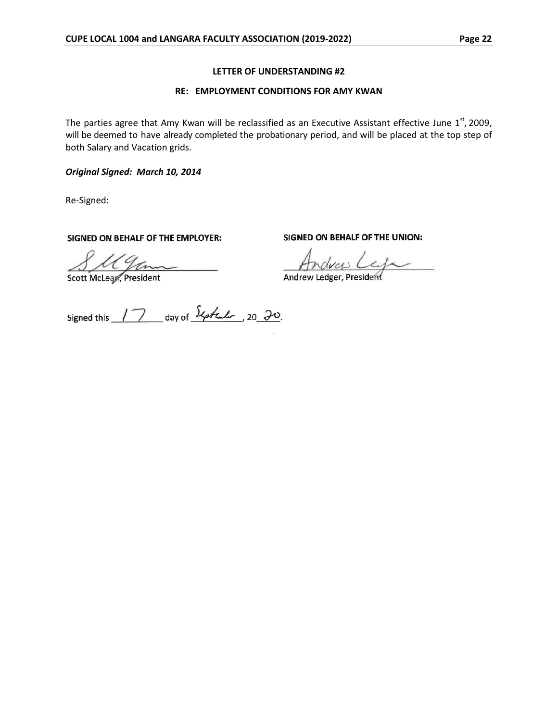#### **LETTER OF UNDERSTANDING #2**

#### **RE: EMPLOYMENT CONDITIONS FOR AMY KWAN**

<span id="page-26-0"></span>The parties agree that Amy Kwan will be reclassified as an Executive Assistant effective June  $1<sup>st</sup>$ , 2009, will be deemed to have already completed the probationary period, and will be placed at the top step of both Salary and Vacation grids.

*Original Signed: March 10, 2014*

Re-Signed:

SIGNED ON BEHALF OF THE EMPLOYER:

SM Genne

SIGNED ON BEHALF OF THE UNION:

ndrew Lega

Andrew Ledger, President

Signed this 17 day of Expression 20 20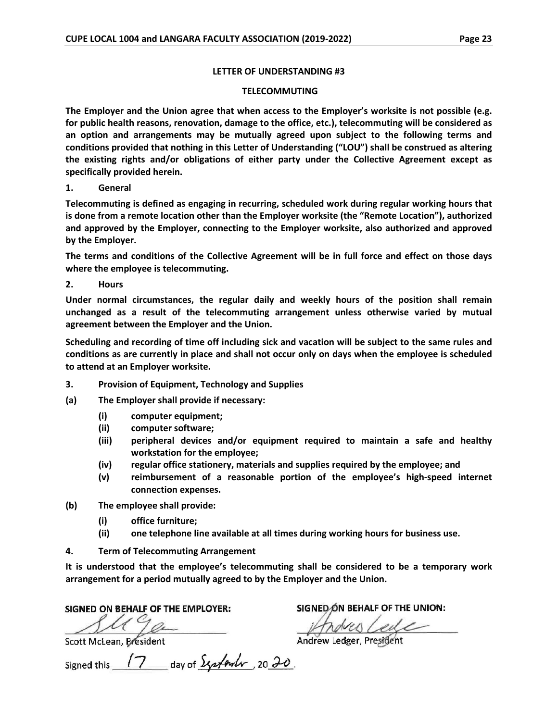#### **LETTER OF UNDERSTANDING #3**

#### **TELECOMMUTING**

<span id="page-27-0"></span>**The Employer and the Union agree that when access to the Employer's worksite is not possible (e.g. for public health reasons, renovation, damage to the office, etc.), telecommuting will be considered as an option and arrangements may be mutually agreed upon subject to the following terms and conditions provided that nothing in this Letter of Understanding ("LOU") shall be construed as altering the existing rights and/or obligations of either party under the Collective Agreement except as specifically provided herein.**

**1. General**

**Telecommuting is defined as engaging in recurring, scheduled work during regular working hours that is done from a remote location other than the Employer worksite (the "Remote Location"), authorized and approved by the Employer, connecting to the Employer worksite, also authorized and approved by the Employer.**

**The terms and conditions of the Collective Agreement will be in full force and effect on those days where the employee is telecommuting.**

**2. Hours**

**Under normal circumstances, the regular daily and weekly hours of the position shall remain unchanged as a result of the telecommuting arrangement unless otherwise varied by mutual agreement between the Employer and the Union.**

**Scheduling and recording of time off including sick and vacation will be subject to the same rules and conditions as are currently in place and shall not occur only on days when the employee is scheduled to attend at an Employer worksite.**

- **3. Provision of Equipment, Technology and Supplies**
- **(a) The Employer shall provide if necessary:**
	- **(i) computer equipment;**
	- **(ii) computer software;**
	- **(iii) peripheral devices and/or equipment required to maintain a safe and healthy workstation for the employee;**
	- **(iv) regular office stationery, materials and supplies required by the employee; and**
	- **(v) reimbursement of a reasonable portion of the employee's high-speed internet connection expenses.**
- **(b) The employee shall provide:**
	- **(i) office furniture;**
	- **(ii) one telephone line available at all times during working hours for business use.**
- **4. Term of Telecommuting Arrangement**

**It is understood that the employee's telecommuting shall be considered to be a temporary work arrangement for a period mutually agreed to by the Employer and the Union.**

SIGNED ON BEHALF OF THE EMPLOYER:<br>Scott McLean, President

Signed this 17 day of Systemler, 2020.

SIGNED ON BEHALF OF THE UNION:

indres Leele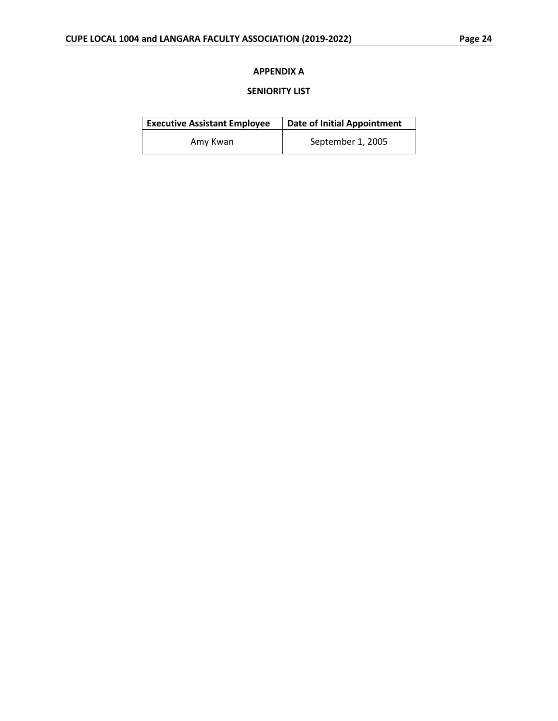### **APPENDIX A**

### **SENIORITY LIST**

<span id="page-28-0"></span>

| <b>Executive Assistant Employee</b> | <b>Date of Initial Appointment</b> |
|-------------------------------------|------------------------------------|
| Amy Kwan                            | September 1, 2005                  |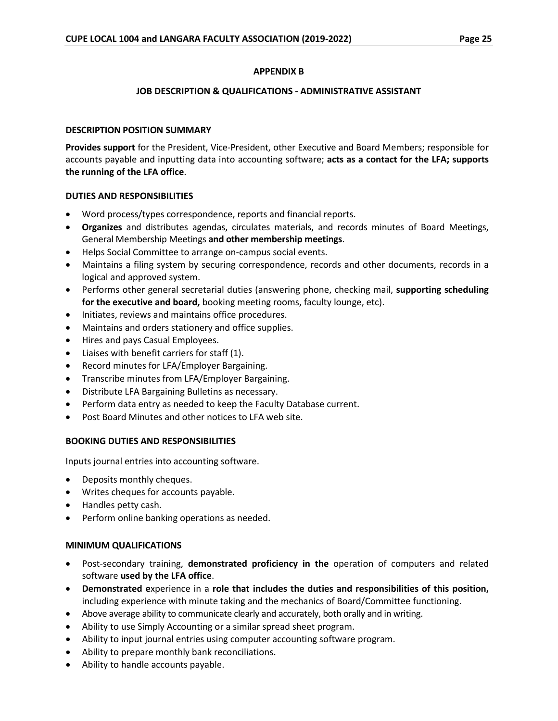### **APPENDIX B**

#### **JOB DESCRIPTION & QUALIFICATIONS - ADMINISTRATIVE ASSISTANT**

#### <span id="page-29-0"></span>**DESCRIPTION POSITION SUMMARY**

**Provides support** for the President, Vice-President, other Executive and Board Members; responsible for accounts payable and inputting data into accounting software; **acts as a contact for the LFA; supports the running of the LFA office**.

### **DUTIES AND RESPONSIBILITIES**

- Word process/types correspondence, reports and financial reports.
- **Organizes** and distributes agendas, circulates materials, and records minutes of Board Meetings, General Membership Meetings **and other membership meetings**.
- Helps Social Committee to arrange on-campus social events.
- Maintains a filing system by securing correspondence, records and other documents, records in a logical and approved system.
- Performs other general secretarial duties (answering phone, checking mail, **supporting scheduling for the executive and board,** booking meeting rooms, faculty lounge, etc).
- Initiates, reviews and maintains office procedures.
- Maintains and orders stationery and office supplies.
- Hires and pays Casual Employees.
- Liaises with benefit carriers for staff (1).
- Record minutes for LFA/Employer Bargaining.
- Transcribe minutes from LFA/Employer Bargaining.
- Distribute LFA Bargaining Bulletins as necessary.
- Perform data entry as needed to keep the Faculty Database current.
- Post Board Minutes and other notices to LFA web site.

#### **BOOKING DUTIES AND RESPONSIBILITIES**

Inputs journal entries into accounting software.

- Deposits monthly cheques.
- Writes cheques for accounts payable.
- Handles petty cash.
- Perform online banking operations as needed.

#### **MINIMUM QUALIFICATIONS**

- Post-secondary training, **demonstrated proficiency in the** operation of computers and related software **used by the LFA office**.
- **Demonstrated e**xperience in a **role that includes the duties and responsibilities of this position,**  including experience with minute taking and the mechanics of Board/Committee functioning.
- Above average ability to communicate clearly and accurately, both orally and in writing.
- Ability to use Simply Accounting or a similar spread sheet program.
- Ability to input journal entries using computer accounting software program.
- Ability to prepare monthly bank reconciliations.
- Ability to handle accounts payable.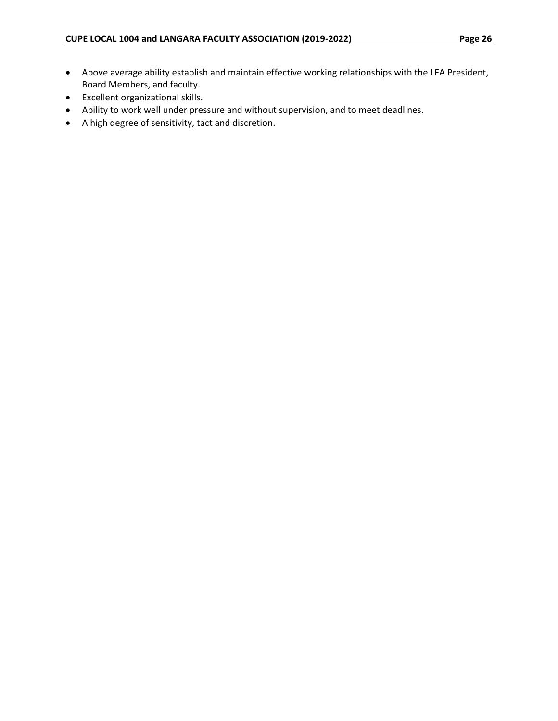- Above average ability establish and maintain effective working relationships with the LFA President, Board Members, and faculty.
- Excellent organizational skills.
- Ability to work well under pressure and without supervision, and to meet deadlines.
- A high degree of sensitivity, tact and discretion.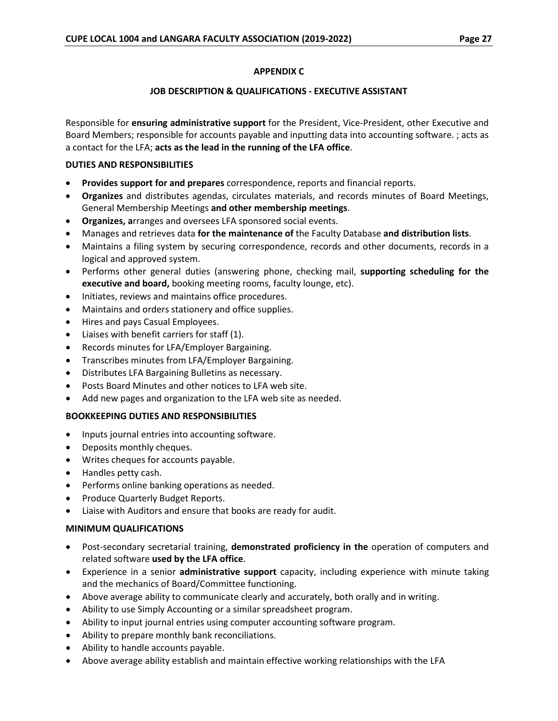### **APPENDIX C**

#### **JOB DESCRIPTION & QUALIFICATIONS - EXECUTIVE ASSISTANT**

<span id="page-31-0"></span>Responsible for **ensuring administrative support** for the President, Vice-President, other Executive and Board Members; responsible for accounts payable and inputting data into accounting software. ; acts as a contact for the LFA; **acts as the lead in the running of the LFA office**.

#### **DUTIES AND RESPONSIBILITIES**

- **Provides support for and prepares** correspondence, reports and financial reports.
- **Organizes** and distributes agendas, circulates materials, and records minutes of Board Meetings, General Membership Meetings **and other membership meetings**.
- **Organizes, a**rranges and oversees LFA sponsored social events.
- Manages and retrieves data **for the maintenance of** the Faculty Database **and distribution lists**.
- Maintains a filing system by securing correspondence, records and other documents, records in a logical and approved system.
- Performs other general duties (answering phone, checking mail, **supporting scheduling for the executive and board,** booking meeting rooms, faculty lounge, etc).
- Initiates, reviews and maintains office procedures.
- Maintains and orders stationery and office supplies.
- Hires and pays Casual Employees.
- Liaises with benefit carriers for staff (1).
- Records minutes for LFA/Employer Bargaining.
- Transcribes minutes from LFA/Employer Bargaining.
- Distributes LFA Bargaining Bulletins as necessary.
- Posts Board Minutes and other notices to LFA web site.
- Add new pages and organization to the LFA web site as needed.

#### **BOOKKEEPING DUTIES AND RESPONSIBILITIES**

- Inputs journal entries into accounting software.
- Deposits monthly cheques.
- Writes cheques for accounts payable.
- Handles petty cash.
- Performs online banking operations as needed.
- Produce Quarterly Budget Reports.
- Liaise with Auditors and ensure that books are ready for audit.

#### **MINIMUM QUALIFICATIONS**

- Post-secondary secretarial training, **demonstrated proficiency in the** operation of computers and related software **used by the LFA office**.
- Experience in a senior **administrative support** capacity, including experience with minute taking and the mechanics of Board/Committee functioning.
- Above average ability to communicate clearly and accurately, both orally and in writing.
- Ability to use Simply Accounting or a similar spreadsheet program.
- Ability to input journal entries using computer accounting software program.
- Ability to prepare monthly bank reconciliations.
- Ability to handle accounts payable.
- Above average ability establish and maintain effective working relationships with the LFA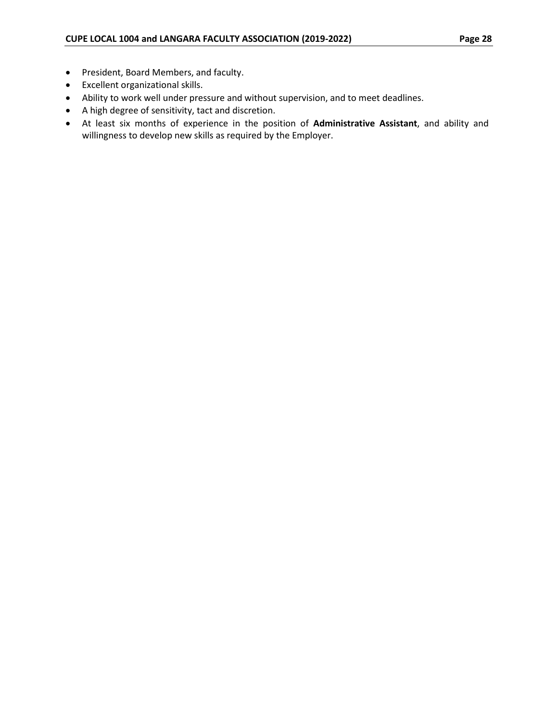- President, Board Members, and faculty.
- Excellent organizational skills.
- Ability to work well under pressure and without supervision, and to meet deadlines.
- A high degree of sensitivity, tact and discretion.
- At least six months of experience in the position of **Administrative Assistant**, and ability and willingness to develop new skills as required by the Employer.